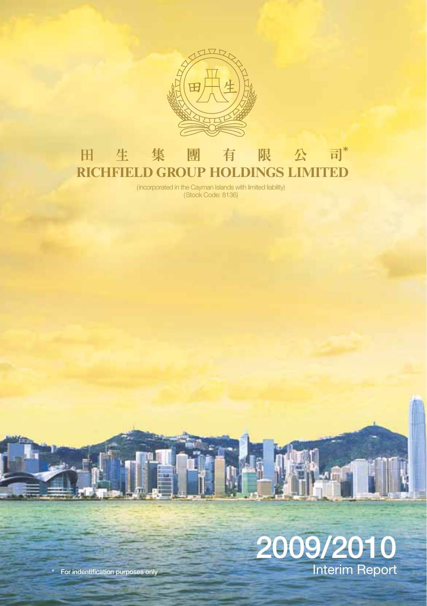

### 有 限 公 司\* 田 生 集 團 **RICHFIELD GROUP HOLDINGS LIMITED**

(incorporated in the Cayman Islands with limited liability) (Stock Code: 8136)



**\* For indentification purposes only**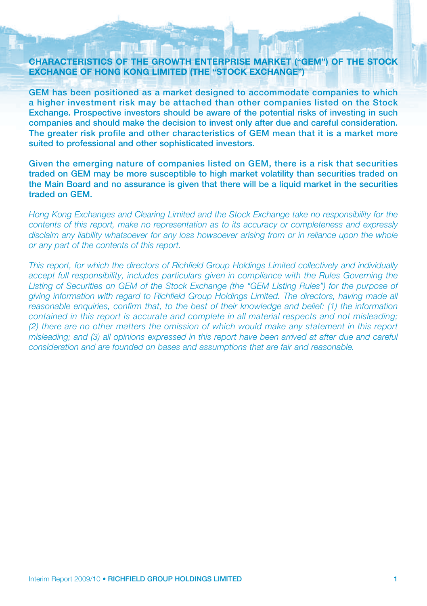### **CHARACTERISTICS OF THE GROWTH ENTERPRISE MARKET ("GEM") OF THE STOCK EXCHANGE OF HONG KONG LIMITED (THE "STOCK EXCHANGE")**

**GEM has been positioned as a market designed to accommodate companies to which a higher investment risk may be attached than other companies listed on the Stock Exchange. Prospective investors should be aware of the potential risks of investing in such companies and should make the decision to invest only after due and careful consideration. The greater risk profile and other characteristics of GEM mean that it is a market more suited to professional and other sophisticated investors.**

**Given the emerging nature of companies listed on GEM, there is a risk that securities traded on GEM may be more susceptible to high market volatility than securities traded on the Main Board and no assurance is given that there will be a liquid market in the securities traded on GEM.**

*Hong Kong Exchanges and Clearing Limited and the Stock Exchange take no responsibility for the contents of this report, make no representation as to its accuracy or completeness and expressly disclaim any liability whatsoever for any loss howsoever arising from or in reliance upon the whole or any part of the contents of this report.*

*This report, for which the directors of Richfield Group Holdings Limited collectively and individually accept full responsibility, includes particulars given in compliance with the Rules Governing the* Listing of Securities on GEM of the Stock Exchange (the "GEM Listing Rules") for the purpose of *giving information with regard to Richfield Group Holdings Limited. The directors, having made all reasonable enquiries, confirm that, to the best of their knowledge and belief: (1) the information contained in this report is accurate and complete in all material respects and not misleading; (2) there are no other matters the omission of which would make any statement in this report misleading; and (3) all opinions expressed in this report have been arrived at after due and careful consideration and are founded on bases and assumptions that are fair and reasonable.*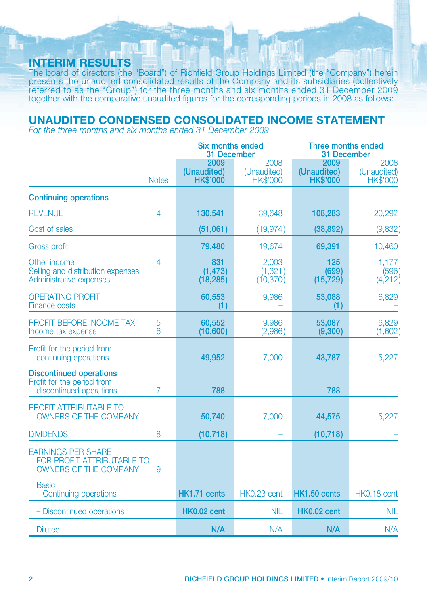# **INTERIM RESULTS**

The board of directors (the "Board") of Richfield Group Holdings Limited (the "Company") herein presents the unaudited consolidated results of the Company and its subsidiaries (collectively referred to as the "Group") for the three months and six months ended 31 December 2009 together with the comparative unaudited figures for the corresponding periods in 2008 as follows:

# **UNAUDITED CONDENSED CONSOLIDATED INCOME STATEMENT**

*For the three months and six months ended 31 December 2009*

|                                                                                                |                | <b>Six months ended</b><br>31 December |                                        | Three months ended<br>31 December      |                                        |  |
|------------------------------------------------------------------------------------------------|----------------|----------------------------------------|----------------------------------------|----------------------------------------|----------------------------------------|--|
|                                                                                                | <b>Notes</b>   | 2009<br>(Unaudited)<br><b>HK\$'000</b> | 2008<br>(Unaudited)<br><b>HK\$'000</b> | 2009<br>(Unaudited)<br><b>HK\$'000</b> | 2008<br>(Unaudited)<br><b>HK\$'000</b> |  |
| <b>Continuing operations</b>                                                                   |                |                                        |                                        |                                        |                                        |  |
| <b>REVENUE</b>                                                                                 | $\overline{4}$ | 130,541                                | 39,648                                 | 108,283                                | 20,292                                 |  |
| Cost of sales                                                                                  |                | (51,061)                               | (19, 974)                              | (38, 892)                              | (9,832)                                |  |
| <b>Gross profit</b>                                                                            |                | 79,480                                 | 19,674                                 | 69,391                                 | 10,460                                 |  |
| Other income<br>Selling and distribution expenses<br>Administrative expenses                   | 4              | 831<br>(1, 473)<br>(18, 285)           | 2,003<br>(1, 321)<br>(10, 370)         | 125<br>(699)<br>(15, 729)              | 1,177<br>(596)<br>(4,212)              |  |
| <b>OPERATING PROFIT</b><br><b>Finance costs</b>                                                |                | 60,553<br>(1)                          | 9,986                                  | 53,088<br>(1)                          | 6,829                                  |  |
| PROFIT BEFORE INCOME TAX<br>Income tax expense                                                 | 5<br>6         | 60.552<br>(10,600)                     | 9.986<br>(2,986)                       | 53,087<br>(9,300)                      | 6.829<br>(1,602)                       |  |
| Profit for the period from<br>continuing operations                                            |                | 49,952                                 | 7,000                                  | 43,787                                 | 5,227                                  |  |
| <b>Discontinued operations</b><br>Profit for the period from<br>discontinued operations        | 7              | 788                                    |                                        | 788                                    |                                        |  |
| <b>PROFIT ATTRIBUTABLE TO</b><br><b>OWNERS OF THE COMPANY</b>                                  |                | 50,740                                 | 7,000                                  | 44,575                                 | 5,227                                  |  |
| <b>DIVIDENDS</b>                                                                               | 8              | (10, 718)                              |                                        | (10, 718)                              |                                        |  |
| <b>EARNINGS PER SHARE</b><br><b>FOR PROFIT ATTRIBUTABLE TO</b><br><b>OWNERS OF THE COMPANY</b> | 9              |                                        |                                        |                                        |                                        |  |
| <b>Basic</b><br>- Continuing operations                                                        |                | HK1.71 cents                           | HK0.23 cent                            | HK1.50 cents                           | HK0.18 cent                            |  |
| - Discontinued operations                                                                      |                | HK0.02 cent                            | <b>NIL</b>                             | HK0.02 cent                            | <b>NIL</b>                             |  |
| <b>Diluted</b>                                                                                 |                | N/A                                    | N/A                                    | N/A                                    | N/A                                    |  |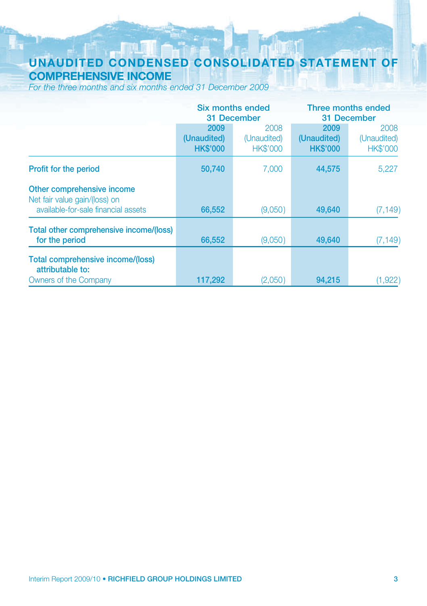# **UNAUDITED CONDENSED CONSOLIDATED STATEMENT OF COMPREHENSIVE INCOME**

*For the three months and six months ended 31 December 2009*

|                                                                                                    |                                        | Six months ended                       | Three months ended                     |                                        |  |
|----------------------------------------------------------------------------------------------------|----------------------------------------|----------------------------------------|----------------------------------------|----------------------------------------|--|
|                                                                                                    |                                        | 31 December                            | 31 December                            |                                        |  |
|                                                                                                    | 2009<br>(Unaudited)<br><b>HK\$'000</b> | 2008<br>(Unaudited)<br><b>HK\$'000</b> | 2009<br>(Unaudited)<br><b>HK\$'000</b> | 2008<br>(Unaudited)<br><b>HK\$'000</b> |  |
| <b>Profit for the period</b>                                                                       | 50,740                                 | 7.000                                  | 44,575                                 | 5,227                                  |  |
| Other comprehensive income<br>Net fair value gain/(loss) on<br>available-for-sale financial assets | 66,552                                 | (9,050)                                | 49,640                                 | (7, 149)                               |  |
| Total other comprehensive income/(loss)<br>for the period                                          | 66,552                                 | (9,050)                                | 49,640                                 | (7, 149)                               |  |
| Total comprehensive income/(loss)<br>attributable to:<br>Owners of the Company                     | 117,292                                | (2,050)                                | 94.215                                 | (1,922)                                |  |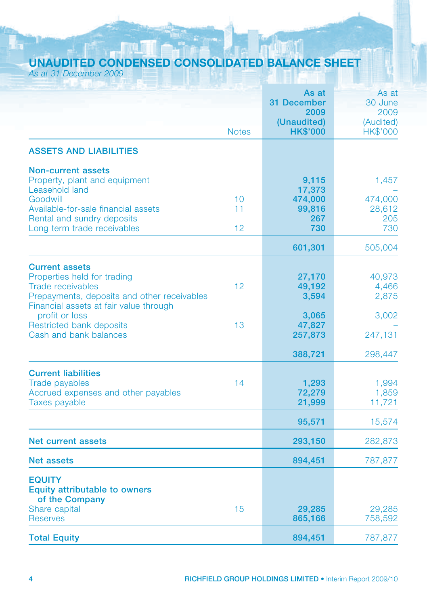# **UNAUDITED CONDENSED CONSOLIDATED BALANCE SHEET**

*As at 31 December 2009*

|                                                                                                                                                                           |              | As at<br><b>31 December</b><br>2009 | As at<br>30 June<br>2009 |
|---------------------------------------------------------------------------------------------------------------------------------------------------------------------------|--------------|-------------------------------------|--------------------------|
|                                                                                                                                                                           | <b>Notes</b> | (Unaudited)<br><b>HK\$'000</b>      | (Audited)<br>HK\$'000    |
| <b>ASSETS AND LIABILITIES</b>                                                                                                                                             |              |                                     |                          |
| <b>Non-current assets</b><br>Property, plant and equipment<br>Leasehold land<br>Goodwill                                                                                  | 10           | 9,115<br>17,373<br>474,000          | 1,457<br>474,000         |
| Available-for-sale financial assets<br>Rental and sundry deposits<br>Long term trade receivables                                                                          | 11<br>12     | 99,816<br>267<br>730                | 28,612<br>205<br>730     |
|                                                                                                                                                                           |              | 601,301                             | 505,004                  |
| <b>Current assets</b><br>Properties held for trading<br><b>Trade receivables</b><br>Prepayments, deposits and other receivables<br>Financial assets at fair value through | 12           | 27,170<br>49,192<br>3,594           | 40,973<br>4,466<br>2,875 |
| profit or loss<br><b>Restricted bank deposits</b><br>Cash and bank balances                                                                                               | 13           | 3,065<br>47,827<br>257,873          | 3,002<br>247,131         |
|                                                                                                                                                                           |              | 388,721                             | 298,447                  |
| <b>Current liabilities</b><br><b>Trade payables</b><br>Accrued expenses and other payables<br><b>Taxes payable</b>                                                        | 14           | 1,293<br>72,279<br>21,999           | 1,994<br>1,859<br>11,721 |
|                                                                                                                                                                           |              | 95,571                              | 15,574                   |
| <b>Net current assets</b>                                                                                                                                                 |              | 293,150                             | 282,873                  |
| <b>Net assets</b>                                                                                                                                                         |              | 894,451                             | 787,877                  |
| <b>EQUITY</b><br><b>Equity attributable to owners</b><br>of the Company                                                                                                   |              |                                     |                          |
| Share capital<br><b>Reserves</b>                                                                                                                                          | 15           | 29,285<br>865,166                   | 29,285<br>758,592        |
| <b>Total Equity</b>                                                                                                                                                       |              | 894,451                             | 787,877                  |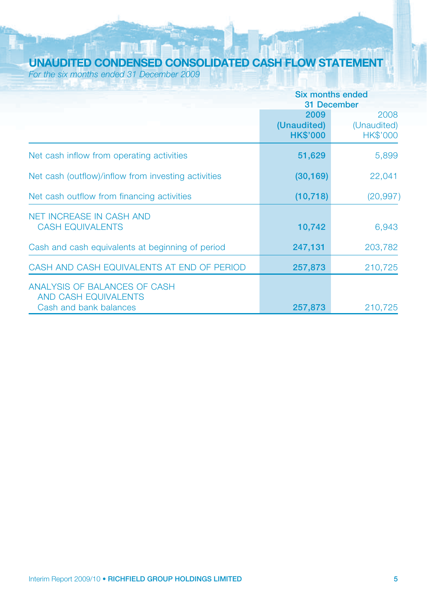# **UNAUDITED CONDENSED CONSOLIDATED CASH FLOW STATEMENT**

*For the six months ended 31 December 2009*

|                                                                                | Six months ended<br>31 December        |                                        |  |
|--------------------------------------------------------------------------------|----------------------------------------|----------------------------------------|--|
|                                                                                | 2009<br>(Unaudited)<br><b>HK\$'000</b> | 2008<br>(Unaudited)<br><b>HK\$'000</b> |  |
| Net cash inflow from operating activities                                      | 51,629                                 | 5,899                                  |  |
| Net cash (outflow)/inflow from investing activities                            | (30, 169)                              | 22,041                                 |  |
| Net cash outflow from financing activities                                     | (10, 718)                              | (20, 997)                              |  |
| <b>NET INCREASE IN CASH AND</b><br><b>CASH EQUIVALENTS</b>                     | 10,742                                 | 6,943                                  |  |
| Cash and cash equivalents at beginning of period                               | 247,131                                | 203,782                                |  |
| CASH AND CASH EQUIVALENTS AT END OF PERIOD                                     | 257,873                                | 210,725                                |  |
| ANALYSIS OF BALANCES OF CASH<br>AND CASH EQUIVALENTS<br>Cash and bank balances | 257,873                                | 210.725                                |  |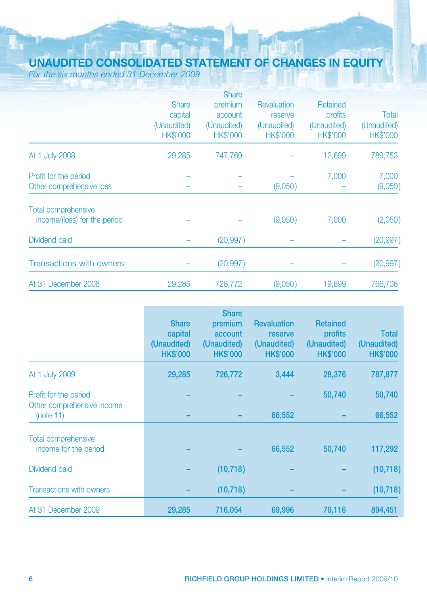# **UNAUDITED CONSOLIDATED STATEMENT OF CHANGES IN EQUITY**

*For the six months ended 31 December 2009*

|                                 |                 | <b>Share</b>    |                 |                 |                 |
|---------------------------------|-----------------|-----------------|-----------------|-----------------|-----------------|
|                                 | <b>Share</b>    | premium         | Revaluation     | Retained        |                 |
|                                 | capital         | account         | reserve         | profits         | Total           |
|                                 | (Unaudited)     | (Unaudited)     | (Unaudited)     | (Unaudited)     | (Unaudited)     |
|                                 | <b>HK\$'000</b> | <b>HK\$'000</b> | <b>HK\$'000</b> | <b>HK\$'000</b> | <b>HK\$'000</b> |
| At 1 July 2008                  | 29,285          | 747.769         |                 | 12,699          | 789,753         |
| Profit for the period           |                 |                 |                 | 7,000           | 7,000           |
| Other comprehensive loss        |                 |                 | (9,050)         |                 | (9,050)         |
| <b>Total comprehensive</b>      |                 |                 |                 |                 |                 |
| income/(loss) for the period    |                 |                 | (9,050)         | 7,000           | (2,050)         |
| Dividend paid                   |                 | (20, 997)       |                 |                 | (20, 997)       |
| <b>Transactions with owners</b> |                 | (20, 997)       |                 |                 | (20, 997)       |
| At 31 December 2008             | 29,285          | 726,772         | (9,050)         | 19,699          | 766,706         |

|                                                                  | <b>Share</b><br>capital<br>(Unaudited)<br><b>HK\$'000</b> | <b>Share</b><br>premium<br>account<br>(Unaudited)<br><b>HK\$'000</b> | <b>Revaluation</b><br>reserve<br>(Unaudited)<br><b>HK\$'000</b> | <b>Retained</b><br>profits<br>(Unaudited)<br><b>HK\$'000</b> | <b>Total</b><br>(Unaudited)<br><b>HK\$'000</b> |
|------------------------------------------------------------------|-----------------------------------------------------------|----------------------------------------------------------------------|-----------------------------------------------------------------|--------------------------------------------------------------|------------------------------------------------|
| At 1 July 2009                                                   | 29,285                                                    | 726,772                                                              | 3,444                                                           | 28,376                                                       | 787,877                                        |
| Profit for the period<br>Other comprehensive income<br>(note 11) |                                                           |                                                                      | 66,552                                                          | 50,740                                                       | 50,740<br>66,552                               |
| <b>Total comprehensive</b><br>income for the period              |                                                           |                                                                      | 66,552                                                          | 50,740                                                       | 117,292                                        |
| Dividend paid                                                    |                                                           | (10, 718)                                                            |                                                                 |                                                              | (10, 718)                                      |
| <b>Transactions with owners</b>                                  |                                                           | (10, 718)                                                            |                                                                 |                                                              | (10, 718)                                      |
| At 31 December 2009                                              | 29,285                                                    | 716,054                                                              | 69.996                                                          | 79,116                                                       | 894,451                                        |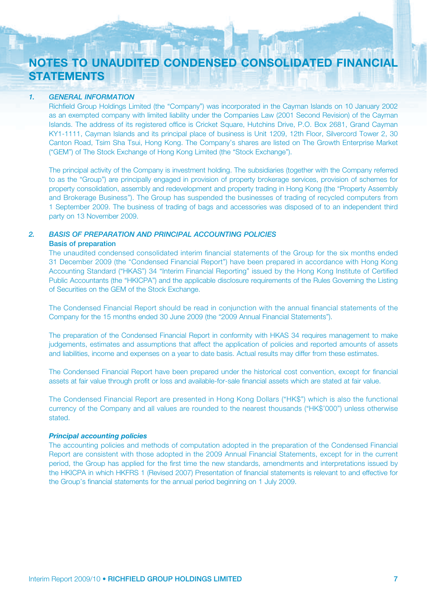# **NOTES TO UNAUDITED CONDENSED CONSOLIDATED FINANCIAL STATEMENTS**

### *1. GENERAL INFORMATION*

Richfield Group Holdings Limited (the "Company") was incorporated in the Cayman Islands on 10 January 2002 as an exempted company with limited liability under the Companies Law (2001 Second Revision) of the Cayman Islands. The address of its registered office is Cricket Square, Hutchins Drive, P.O. Box 2681, Grand Cayman KY1-1111, Cayman Islands and its principal place of business is Unit 1209, 12th Floor, Silvercord Tower 2, 30 Canton Road, Tsim Sha Tsui, Hong Kong. The Company's shares are listed on The Growth Enterprise Market ("GEM") of The Stock Exchange of Hong Kong Limited (the "Stock Exchange").

The principal activity of the Company is investment holding. The subsidiaries (together with the Company referred to as the "Group") are principally engaged in provision of property brokerage services, provision of schemes for property consolidation, assembly and redevelopment and property trading in Hong Kong (the "Property Assembly and Brokerage Business"). The Group has suspended the businesses of trading of recycled computers from 1 September 2009. The business of trading of bags and accessories was disposed of to an independent third party on 13 November 2009.

### *2. BASIS OF PREPARATION AND PRINCIPAL ACCOUNTING POLICIES*

### **Basis of preparation**

The unaudited condensed consolidated interim financial statements of the Group for the six months ended 31 December 2009 (the "Condensed Financial Report") have been prepared in accordance with Hong Kong Accounting Standard ("HKAS") 34 "Interim Financial Reporting" issued by the Hong Kong Institute of Certified Public Accountants (the "HKICPA") and the applicable disclosure requirements of the Rules Governing the Listing of Securities on the GEM of the Stock Exchange.

The Condensed Financial Report should be read in conjunction with the annual financial statements of the Company for the 15 months ended 30 June 2009 (the "2009 Annual Financial Statements").

The preparation of the Condensed Financial Report in conformity with HKAS 34 requires management to make judgements, estimates and assumptions that affect the application of policies and reported amounts of assets and liabilities, income and expenses on a year to date basis. Actual results may differ from these estimates.

The Condensed Financial Report have been prepared under the historical cost convention, except for financial assets at fair value through profit or loss and available-for-sale financial assets which are stated at fair value.

The Condensed Financial Report are presented in Hong Kong Dollars ("HK\$") which is also the functional currency of the Company and all values are rounded to the nearest thousands ("HK\$'000") unless otherwise stated.

*Principal accounting policies* The accounting policies and methods of computation adopted in the preparation of the Condensed Financial Report are consistent with those adopted in the 2009 Annual Financial Statements, except for in the current period, the Group has applied for the first time the new standards, amendments and interpretations issued by the HKICPA in which HKFRS 1 (Revised 2007) Presentation of financial statements is relevant to and effective for the Group's financial statements for the annual period beginning on 1 July 2009.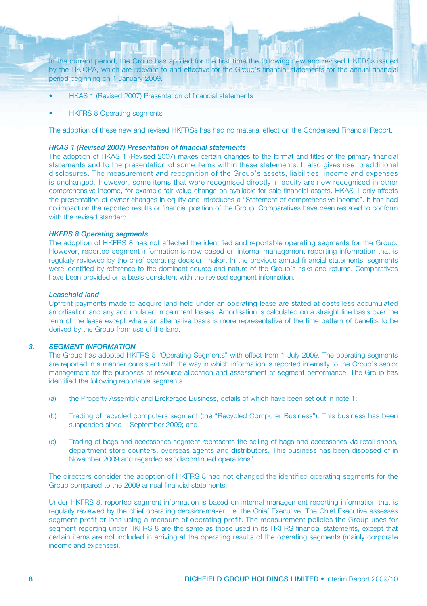In the current period, the Group has applied for the first time the following new and revised HKFRSs issued by the HKICPA, which are relevant to and effective for the Group's financial statements for the annual financial period beginning on 1 January 2009.

- HKAS 1 (Revised 2007) Presentation of financial statements
- HKFRS 8 Operating segments

The adoption of these new and revised HKFRSs has had no material effect on the Condensed Financial Report.

#### *HKAS 1 (Revised 2007) Presentation of financial statements*

The adoption of HKAS 1 (Revised 2007) makes certain changes to the format and titles of the primary financial statements and to the presentation of some items within these statements. It also gives rise to additional disclosures. The measurement and recognition of the Group's assets, liabilities, income and expenses is unchanged. However, some items that were recognised directly in equity are now recognised in other comprehensive income, for example fair value change on available-for-sale financial assets. HKAS 1 only affects the presentation of owner changes in equity and introduces a "Statement of comprehensive income". It has had no impact on the reported results or financial position of the Group. Comparatives have been restated to conform with the revised standard

#### *HKFRS 8 Operating segments*

The adoption of HKFRS 8 has not affected the identified and reportable operating segments for the Group. However, reported segment information is now based on internal management reporting information that is regularly reviewed by the chief operating decision maker. In the previous annual financial statements, segments were identified by reference to the dominant source and nature of the Group's risks and returns. Comparatives have been provided on a basis consistent with the revised segment information.

#### *Leasehold land*

Upfront payments made to acquire land held under an operating lease are stated at costs less accumulated amortisation and any accumulated impairment losses. Amortisation is calculated on a straight line basis over the term of the lease except where an alternative basis is more representative of the time pattern of benefits to be derived by the Group from use of the land.

### *3. SEGMENT INFORMATION*

The Group has adopted HKFRS 8 "Operating Segments" with effect from 1 July 2009. The operating segments are reported in a manner consistent with the way in which information is reported internally to the Group's senior management for the purposes of resource allocation and assessment of segment performance. The Group has identified the following reportable segments.

- (a) the Property Assembly and Brokerage Business, details of which have been set out in note 1;
- (b) Trading of recycled computers segment (the "Recycled Computer Business"). This business has been suspended since 1 September 2009; and
- (c) Trading of bags and accessories segment represents the selling of bags and accessories via retail shops, department store counters, overseas agents and distributors. This business has been disposed of in November 2009 and regarded as "discontinued operations".

The directors consider the adoption of HKFRS 8 had not changed the identified operating segments for the Group compared to the 2009 annual financial statements.

Under HKFRS 8, reported segment information is based on internal management reporting information that is regularly reviewed by the chief operating decision-maker, i.e. the Chief Executive. The Chief Executive assesses segment profit or loss using a measure of operating profit. The measurement policies the Group uses for segment reporting under HKFRS 8 are the same as those used in its HKFRS financial statements, except that certain items are not included in arriving at the operating results of the operating segments (mainly corporate income and expenses).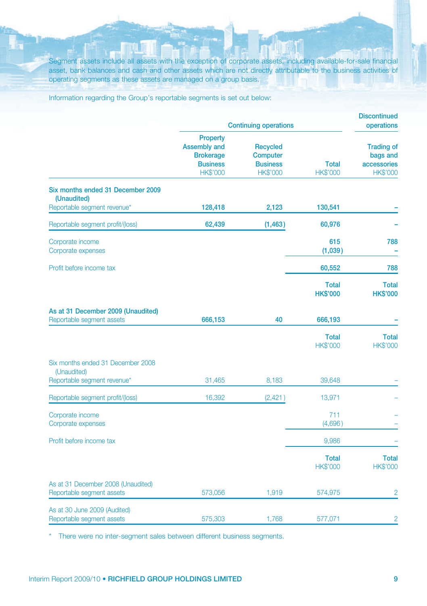Segment assets include all assets with the exception of corporate assets, including available-for-sale financial asset, bank balances and cash and other assets which are not directly attributable to the business activities of operating segments as these assets are managed on a group basis.

Information regarding the Group's reportable segments is set out below:

|                                                                 | <b>Continuing operations</b>                                                                     | <b>Discontinued</b><br>operations                                        |                                 |                                                                 |
|-----------------------------------------------------------------|--------------------------------------------------------------------------------------------------|--------------------------------------------------------------------------|---------------------------------|-----------------------------------------------------------------|
|                                                                 | <b>Property</b><br><b>Assembly and</b><br><b>Brokerage</b><br><b>Business</b><br><b>HK\$'000</b> | <b>Recycled</b><br><b>Computer</b><br><b>Business</b><br><b>HK\$'000</b> | <b>Total</b><br><b>HK\$'000</b> | <b>Trading of</b><br>bags and<br>accessories<br><b>HK\$'000</b> |
| Six months ended 31 December 2009<br>(Unaudited)                |                                                                                                  |                                                                          |                                 |                                                                 |
| Reportable segment revenue*                                     | 128,418                                                                                          | 2,123                                                                    | 130,541                         |                                                                 |
| Reportable segment profit/(loss)                                | 62,439                                                                                           | (1, 463)                                                                 | 60,976                          |                                                                 |
| Corporate income<br>Corporate expenses                          |                                                                                                  |                                                                          | 615<br>(1,039)                  | 788                                                             |
| Profit before income tax                                        |                                                                                                  |                                                                          | 60,552                          | 788                                                             |
|                                                                 |                                                                                                  |                                                                          | <b>Total</b><br><b>HK\$'000</b> | <b>Total</b><br><b>HK\$'000</b>                                 |
| As at 31 December 2009 (Unaudited)<br>Reportable segment assets | 666,153                                                                                          | 40                                                                       | 666,193                         |                                                                 |
|                                                                 |                                                                                                  |                                                                          | <b>Total</b><br><b>HK\$'000</b> | <b>Total</b><br><b>HK\$'000</b>                                 |
| Six months ended 31 December 2008<br>(Unaudited)                |                                                                                                  |                                                                          |                                 |                                                                 |
| Reportable segment revenue*                                     | 31,465                                                                                           | 8,183                                                                    | 39,648                          |                                                                 |
| Reportable segment profit/(loss)                                | 16,392                                                                                           | (2,421)                                                                  | 13,971                          |                                                                 |
| Corporate income<br>Corporate expenses                          |                                                                                                  |                                                                          | 711<br>(4,696)                  |                                                                 |
| Profit before income tax                                        |                                                                                                  |                                                                          | 9,986                           |                                                                 |
|                                                                 |                                                                                                  |                                                                          | <b>Total</b><br><b>HK\$'000</b> | <b>Total</b><br><b>HK\$'000</b>                                 |
| As at 31 December 2008 (Unaudited)<br>Reportable segment assets | 573,056                                                                                          | 1,919                                                                    | 574,975                         | $\overline{2}$                                                  |
| As at 30 June 2009 (Audited)<br>Reportable segment assets       | 575,303                                                                                          | 1,768                                                                    | 577,071                         | $\overline{2}$                                                  |

\* There were no inter-segment sales between different business segments.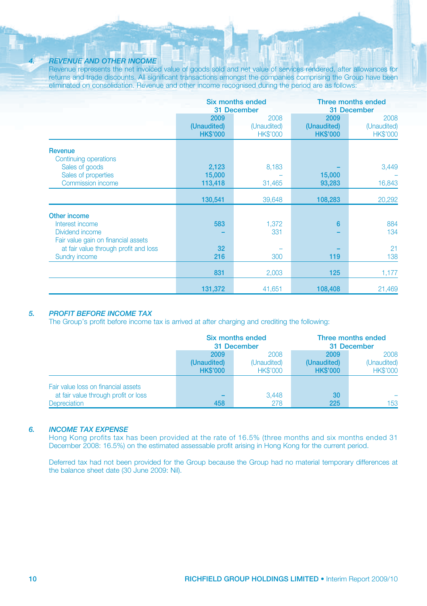### *4. REVENUE AND OTHER INCOME*

Revenue represents the net invoiced value of goods sold and net value of services rendered, after allowances for returns and trade discounts. All significant transactions amongst the companies comprising the Group have been eliminated on consolidation. Revenue and other income recognised during the period are as follows:

|                                       |                 | <b>Six months ended</b><br>31 December |                 | Three months ended<br>31 December |  |
|---------------------------------------|-----------------|----------------------------------------|-----------------|-----------------------------------|--|
|                                       | 2009            | 2008                                   | 2009            | 2008                              |  |
|                                       | (Unaudited)     | (Unaudited)                            | (Unaudited)     | (Unaudited)                       |  |
|                                       | <b>HK\$'000</b> | <b>HK\$'000</b>                        | <b>HK\$'000</b> | <b>HK\$'000</b>                   |  |
| <b>Revenue</b>                        |                 |                                        |                 |                                   |  |
| Continuing operations                 |                 |                                        |                 |                                   |  |
| Sales of goods                        | 2,123           | 8,183                                  |                 | 3,449                             |  |
| Sales of properties                   | 15,000          |                                        | 15,000          |                                   |  |
| <b>Commission income</b>              | 113,418         | 31,465                                 | 93,283          | 16,843                            |  |
|                                       |                 |                                        |                 |                                   |  |
|                                       | 130,541         | 39,648                                 | 108,283         | 20,292                            |  |
| Other income                          |                 |                                        |                 |                                   |  |
| Interest income                       | 583             | 1,372                                  | $6\phantom{a}$  | 884                               |  |
| Dividend income                       |                 | 331                                    |                 | 134                               |  |
| Fair value gain on financial assets   |                 |                                        |                 |                                   |  |
| at fair value through profit and loss | 32              |                                        |                 | 21                                |  |
| Sundry income                         | 216             | 300                                    | 119             | 138                               |  |
|                                       |                 |                                        |                 |                                   |  |
|                                       | 831             | 2,003                                  | 125             | 1,177                             |  |
|                                       | 131,372         | 41,651                                 | 108,408         | 21,469                            |  |
|                                       |                 |                                        |                 |                                   |  |

### *5. PROFIT BEFORE INCOME TAX*

The Group's profit before income tax is arrived at after charging and crediting the following:

|                                      | Six months ended<br>31 December |                 | Three months ended<br>31 December |                 |
|--------------------------------------|---------------------------------|-----------------|-----------------------------------|-----------------|
|                                      | 2009                            | 2008            | 2009                              | 2008            |
|                                      | (Unaudited)                     | (Unaudited)     | (Unaudited)                       | (Unaudited)     |
|                                      | <b>HK\$'000</b>                 | <b>HK\$'000</b> | <b>HK\$'000</b>                   | <b>HK\$'000</b> |
| Fair value loss on financial assets  |                                 |                 |                                   |                 |
| at fair value through profit or loss |                                 | 3.448           | 30                                |                 |
| <b>Depreciation</b>                  | 458                             | 278             | 225                               | 153             |

### *6. INCOME TAX EXPENSE*

Hong Kong profits tax has been provided at the rate of 16.5% (three months and six months ended 31 December 2008: 16.5%) on the estimated assessable profit arising in Hong Kong for the current period.

Deferred tax had not been provided for the Group because the Group had no material temporary differences at the balance sheet date (30 June 2009: Nil).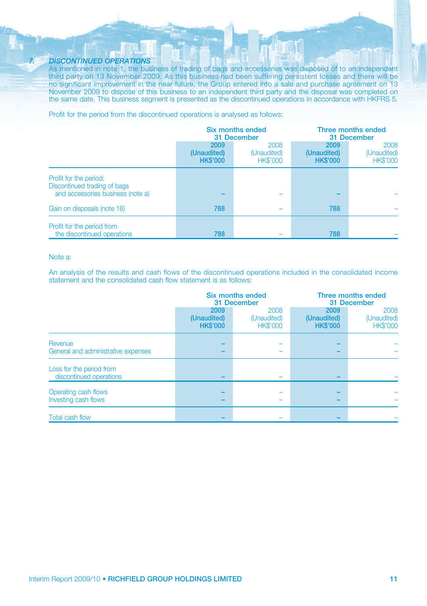#### *7. DISCONTINUED OPERATIONS*

As mentioned in note 1, the business of trading of bags and accessories was disposed of to an independent third party on 13 November 2009. As this business had been suffering persistent losses and there will be no significant improvement in the near future, the Group entered into a sale and purchase agreement on 13 November 2009 to dispose of this business to an independent third party and the disposal was completed on the same date. This business segment is presented as the discontinued operations in accordance with HKFRS 5.

Profit for the period from the discontinued operations is analysed as follows:

|                                                                                             | Six months ended<br>31 December        |                                        | Three months ended<br>31 December      |                                        |
|---------------------------------------------------------------------------------------------|----------------------------------------|----------------------------------------|----------------------------------------|----------------------------------------|
|                                                                                             | 2009<br>(Unaudited)<br><b>HK\$'000</b> | 2008<br>(Unaudited)<br><b>HK\$'000</b> | 2009<br>(Unaudited)<br><b>HK\$'000</b> | 2008<br>(Unaudited)<br><b>HK\$'000</b> |
| Profit for the period:<br>Discontinued trading of bags<br>and accessories business (note a) |                                        |                                        |                                        |                                        |
| Gain on disposals (note 16)                                                                 | 788                                    |                                        | 788                                    |                                        |
| Profit for the period from<br>the discontinued operations                                   | 788                                    |                                        | 788                                    |                                        |

### Note a:

An analysis of the results and cash flows of the discontinued operations included in the consolidated income statement and the consolidated cash flow statement is as follows:

|                                                     | <b>Six months ended</b><br>31 December |                                        | Three months ended<br>31 December      |                                        |
|-----------------------------------------------------|----------------------------------------|----------------------------------------|----------------------------------------|----------------------------------------|
|                                                     | 2009<br>(Unaudited)<br><b>HK\$'000</b> | 2008<br>(Unaudited)<br><b>HK\$'000</b> | 2009<br>(Unaudited)<br><b>HK\$'000</b> | 2008<br>(Unaudited)<br><b>HK\$'000</b> |
| Revenue<br>General and administrative expenses      |                                        |                                        |                                        |                                        |
| Loss for the period from<br>discontinued operations |                                        |                                        |                                        |                                        |
| Operating cash flows<br>Investing cash flows        |                                        |                                        |                                        |                                        |
| Total cash flow                                     |                                        |                                        |                                        |                                        |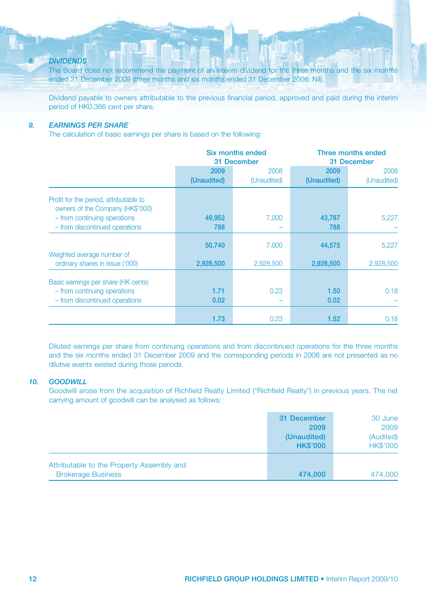### *8. DIVIDENDS*

The Board does not recommend the payment of an interim dividend for the three months and the six months ended 31 December 2009 (three months and six months ended 31 December 2008: Nil).

Dividend payable to owners attributable to the previous financial period, approved and paid during the interim period of HK0.366 cent per share.

### *9. EARNINGS PER SHARE*

The calculation of basic earnings per share is based on the following:

|                                                                            |             | Six months ended<br>31 December | Three months ended<br>31 December |             |
|----------------------------------------------------------------------------|-------------|---------------------------------|-----------------------------------|-------------|
|                                                                            | 2009        | 2008                            | 2009                              | 2008        |
|                                                                            | (Unaudited) | (Unaudited)                     | (Unaudited)                       | (Unaudited) |
| Profit for the period, attributable to<br>owners of the Company (HK\$'000) |             |                                 |                                   |             |
| - from continuing operations                                               | 49,952      | 7,000                           | 43,787                            | 5,227       |
| - from discontinued operations                                             | 788         |                                 | 788                               |             |
| Weighted average number of                                                 | 50,740      | 7,000                           | 44,575                            | 5,227       |
| ordinary shares in issue ('000)                                            | 2,928,500   | 2,928,500                       | 2,928,500                         | 2,928,500   |
| Basic earnings per share (HK cents)                                        |             |                                 |                                   |             |
| - from continuing operations                                               | 1.71        | 0.23                            | 1.50                              | 0.18        |
| - from discontinued operations                                             | 0.02        |                                 | 0.02                              |             |
|                                                                            | 1.73        | 0.23                            | 1.52                              | 0.18        |

Diluted earnings per share from continuing operations and from discontinued operations for the three months and the six months ended 31 December 2009 and the corresponding periods in 2008 are not presented as no dilutive events existed during those periods.

### *10. GOODWILL*

Goodwill arose from the acquisition of Richfield Realty Limited ("Richfield Realty") in previous years. The net carrying amount of goodwill can be analysed as follows:

|                                                                        | 31 December<br>2009<br>(Unaudited)<br><b>HK\$'000</b> | 30 June<br>2009<br>(Audited)<br><b>HK\$'000</b> |
|------------------------------------------------------------------------|-------------------------------------------------------|-------------------------------------------------|
| Attributable to the Property Assembly and<br><b>Brokerage Business</b> | 474,000                                               | 474,000                                         |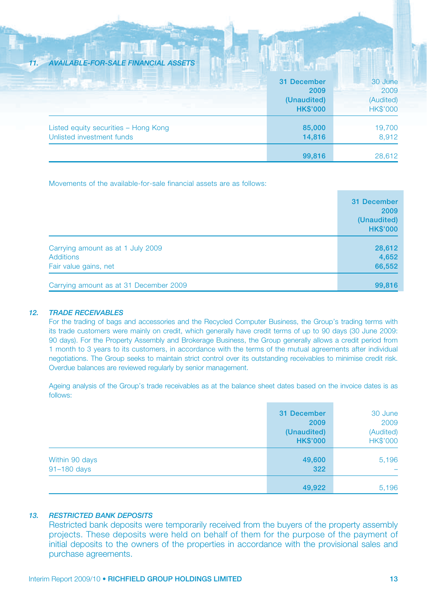### *11. AVAILABLE-FOR-SALE FINANCIAL ASSETS*

|                                                                   | 31 December<br>2009<br>(Unaudited)<br><b>HK\$'000</b> | 30 June<br>2009<br>(Audited)<br><b>HK\$'000</b> |
|-------------------------------------------------------------------|-------------------------------------------------------|-------------------------------------------------|
| Listed equity securities - Hong Kong<br>Unlisted investment funds | 85,000<br>14,816                                      | 19,700<br>8,912                                 |
|                                                                   | 99,816                                                | 28.612                                          |

Movements of the available-for-sale financial assets are as follows:

|                                        | 31 December     |
|----------------------------------------|-----------------|
|                                        | 2009            |
|                                        | (Unaudited)     |
|                                        | <b>HK\$'000</b> |
| Carrying amount as at 1 July 2009      | 28,612          |
| <b>Additions</b>                       | 4,652           |
| Fair value gains, net                  | 66,552          |
| Carrying amount as at 31 December 2009 | 99,816          |

### *12. TRADE RECEIVABLES*

For the trading of bags and accessories and the Recycled Computer Business, the Group's trading terms with its trade customers were mainly on credit, which generally have credit terms of up to 90 days (30 June 2009: 90 days). For the Property Assembly and Brokerage Business, the Group generally allows a credit period from 1 month to 3 years to its customers, in accordance with the terms of the mutual agreements after individual negotiations. The Group seeks to maintain strict control over its outstanding receivables to minimise credit risk. Overdue balances are reviewed regularly by senior management.

Ageing analysis of the Group's trade receivables as at the balance sheet dates based on the invoice dates is as follows:

|                               | 49,922                                                | 5,196                                           |
|-------------------------------|-------------------------------------------------------|-------------------------------------------------|
| Within 90 days<br>91-180 days | 49,600<br>322                                         | 5,196<br>-                                      |
|                               | 31 December<br>2009<br>(Unaudited)<br><b>HK\$'000</b> | 30 June<br>2009<br>(Audited)<br><b>HK\$'000</b> |

### *13. RESTRICTED BANK DEPOSITS*

Restricted bank deposits were temporarily received from the buyers of the property assembly projects. These deposits were held on behalf of them for the purpose of the payment of initial deposits to the owners of the properties in accordance with the provisional sales and purchase agreements.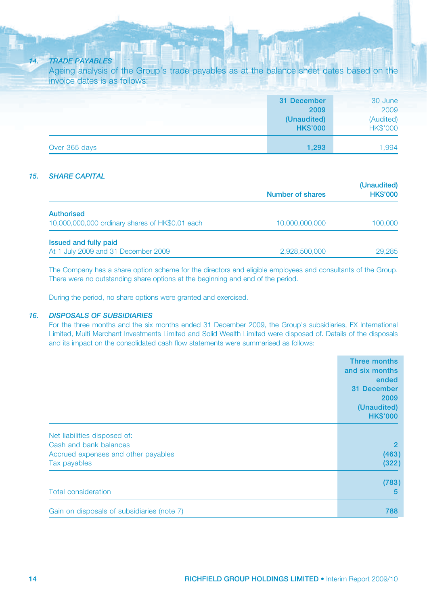### *14. TRADE PAYABLES*

Ageing analysis of the Group's trade payables as at the balance sheet dates based on the invoice dates is as follows:

|               | 31 December<br>2009<br>(Unaudited)<br><b>HK\$'000</b> | 30 June<br>2009<br>(Audited)<br><b>HK\$'000</b> |
|---------------|-------------------------------------------------------|-------------------------------------------------|
| Over 365 days | 1,293                                                 | 1.994                                           |

### *15. SHARE CAPITAL*

|                                                 | <b>Number of shares</b> | (Unaudited)<br><b>HK\$'000</b> |
|-------------------------------------------------|-------------------------|--------------------------------|
| <b>Authorised</b>                               |                         |                                |
| 10,000,000,000 ordinary shares of HK\$0.01 each | 10,000,000,000          | 100,000                        |
| Issued and fully paid                           |                         |                                |
| At 1 July 2009 and 31 December 2009             | 2,928,500,000           | 29,285                         |

The Company has a share option scheme for the directors and eligible employees and consultants of the Group. There were no outstanding share options at the beginning and end of the period.

During the period, no share options were granted and exercised.

### *16. DISPOSALS OF SUBSIDIARIES*

For the three months and the six months ended 31 December 2009, the Group's subsidiaries, FX International Limited, Multi Merchant Investments Limited and Solid Wealth Limited were disposed of. Details of the disposals and its impact on the consolidated cash flow statements were summarised as follows:

|                                            | <b>Three months</b>            |
|--------------------------------------------|--------------------------------|
|                                            | and six months<br>ended        |
|                                            | 31 December                    |
|                                            | 2009                           |
|                                            | (Unaudited)<br><b>HK\$'000</b> |
| Net liabilities disposed of:               |                                |
| Cash and bank balances                     | $\overline{2}$                 |
| Accrued expenses and other payables        | (463)                          |
| Tax payables                               | (322)                          |
|                                            | (783)                          |
| <b>Total consideration</b>                 | 5                              |
| Gain on disposals of subsidiaries (note 7) | 788                            |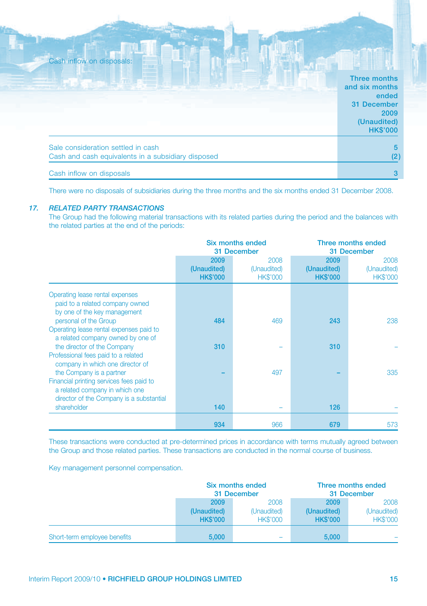| Cash inflow on disposals:                                                                | Three months<br>and six months<br>ended<br>31 December<br>2009<br>(Unaudited)<br><b>HK\$'000</b> |
|------------------------------------------------------------------------------------------|--------------------------------------------------------------------------------------------------|
| Sale consideration settled in cash<br>Cash and cash equivalents in a subsidiary disposed | 5<br>(2)                                                                                         |
| Cash inflow on disposals                                                                 | з                                                                                                |

There were no disposals of subsidiaries during the three months and the six months ended 31 December 2008.

### *17. RELATED PARTY TRANSACTIONS*

The Group had the following material transactions with its related parties during the period and the balances with the related parties at the end of the periods:

|                                                                                                                                       | Six months ended<br>31 December        |                                        |                                        | Three months ended<br>31 December      |
|---------------------------------------------------------------------------------------------------------------------------------------|----------------------------------------|----------------------------------------|----------------------------------------|----------------------------------------|
|                                                                                                                                       | 2009<br>(Unaudited)<br><b>HK\$'000</b> | 2008<br>(Unaudited)<br><b>HK\$'000</b> | 2009<br>(Unaudited)<br><b>HK\$'000</b> | 2008<br>(Unaudited)<br><b>HK\$'000</b> |
| Operating lease rental expenses<br>paid to a related company owned<br>by one of the key management                                    |                                        |                                        |                                        |                                        |
| personal of the Group<br>Operating lease rental expenses paid to<br>a related company owned by one of<br>the director of the Company  | 484<br>310                             | 469                                    | 243<br>310                             | 238                                    |
| Professional fees paid to a related<br>company in which one director of<br>the Company is a partner                                   |                                        | 497                                    |                                        | 335                                    |
| Financial printing services fees paid to<br>a related company in which one<br>director of the Company is a substantial<br>shareholder | 140                                    |                                        | 126                                    |                                        |
|                                                                                                                                       | 934                                    | 966                                    | 679                                    | 573                                    |

These transactions were conducted at pre-determined prices in accordance with terms mutually agreed between the Group and those related parties. These transactions are conducted in the normal course of business.

Key management personnel compensation.

|                              | Six months ended<br>31 December |                 |                 | Three months ended<br>31 December |
|------------------------------|---------------------------------|-----------------|-----------------|-----------------------------------|
|                              | 2008<br>2009                    |                 | 2009            | 2008                              |
|                              | (Unaudited)                     | (Unaudited)     | (Unaudited)     | (Unaudited)                       |
|                              | <b>HK\$'000</b>                 | <b>HK\$'000</b> | <b>HK\$'000</b> | <b>HK\$'000</b>                   |
|                              |                                 |                 |                 |                                   |
| Short-term employee benefits | 5,000                           | -               | 5.000           |                                   |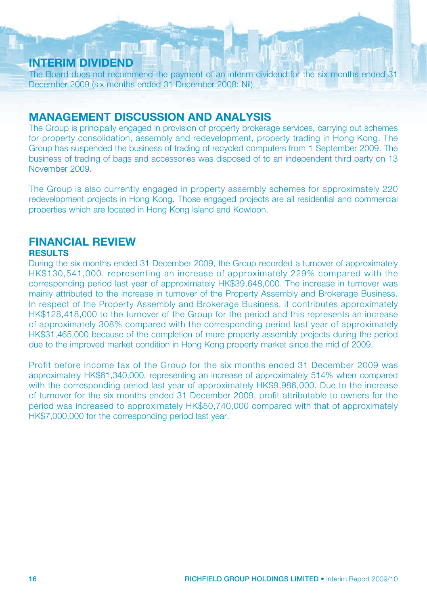# **INTERIM DIVIDEND**

The Board does not recommend the payment of an interim dividend for the six months ended 31 December 2009 (six months ended 31 December 2008: Nil).

# **MANAGEMENT DISCUSSION AND ANALYSIS**

The Group is principally engaged in provision of property brokerage services, carrying out schemes for property consolidation, assembly and redevelopment, property trading in Hong Kong. The Group has suspended the business of trading of recycled computers from 1 September 2009. The business of trading of bags and accessories was disposed of to an independent third party on 13 November 2009.

The Group is also currently engaged in property assembly schemes for approximately 220 redevelopment projects in Hong Kong. Those engaged projects are all residential and commercial properties which are located in Hong Kong Island and Kowloon.

# **FINANCIAL REVIEW**

### **RESULTS**

During the six months ended 31 December 2009, the Group recorded a turnover of approximately HK\$130,541,000, representing an increase of approximately 229% compared with the corresponding period last year of approximately HK\$39,648,000. The increase in turnover was mainly attributed to the increase in turnover of the Property Assembly and Brokerage Business. In respect of the Property Assembly and Brokerage Business, it contributes approximately HK\$128,418,000 to the turnover of the Group for the period and this represents an increase of approximately 308% compared with the corresponding period last year of approximately HK\$31,465,000 because of the completion of more property assembly projects during the period due to the improved market condition in Hong Kong property market since the mid of 2009.

Profit before income tax of the Group for the six months ended 31 December 2009 was approximately HK\$61,340,000, representing an increase of approximately 514% when compared with the corresponding period last year of approximately HK\$9,986,000. Due to the increase of turnover for the six months ended 31 December 2009, profit attributable to owners for the period was increased to approximately HK\$50,740,000 compared with that of approximately HK\$7,000,000 for the corresponding period last year.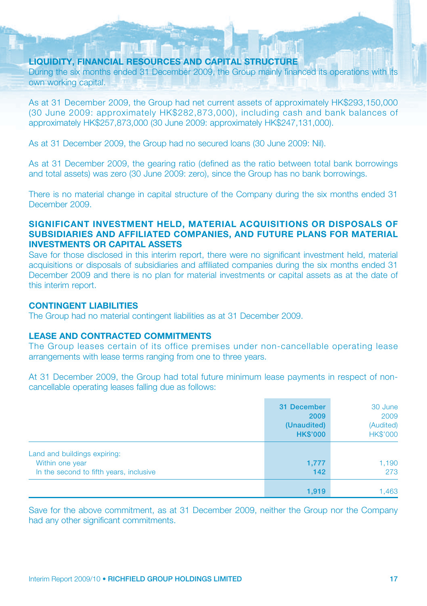### **LIQUIDITY, FINANCIAL RESOURCES AND CAPITAL STRUCTURE**

During the six months ended 31 December 2009, the Group mainly financed its operations with its own working capital.

As at 31 December 2009, the Group had net current assets of approximately HK\$293,150,000 (30 June 2009: approximately HK\$282,873,000), including cash and bank balances of approximately HK\$257,873,000 (30 June 2009: approximately HK\$247,131,000).

As at 31 December 2009, the Group had no secured loans (30 June 2009: Nil).

As at 31 December 2009, the gearing ratio (defined as the ratio between total bank borrowings and total assets) was zero (30 June 2009: zero), since the Group has no bank borrowings.

There is no material change in capital structure of the Company during the six months ended 31 December 2009.

### **SIGNIFICANT INVESTMENT HELD, MATERIAL ACQUISITIONS OR DISPOSALS OF SUBSIDIARIES AND AFFILIATED COMPANIES, AND FUTURE PLANS FOR MATERIAL INVESTMENTS OR CAPITAL ASSETS**

Save for those disclosed in this interim report, there were no significant investment held, material acquisitions or disposals of subsidiaries and affiliated companies during the six months ended 31 December 2009 and there is no plan for material investments or capital assets as at the date of this interim report.

### **CONTINGENT LIABILITIES**

The Group had no material contingent liabilities as at 31 December 2009.

### **LEASE AND CONTRACTED COMMITMENTS**

The Group leases certain of its office premises under non-cancellable operating lease arrangements with lease terms ranging from one to three years.

At 31 December 2009, the Group had total future minimum lease payments in respect of noncancellable operating leases falling due as follows:

|                                                                                                            | 31 December<br>2009<br>(Unaudited)<br><b>HK\$'000</b> | 30 June<br>2009<br>(Audited)<br><b>HK\$'000</b> |
|------------------------------------------------------------------------------------------------------------|-------------------------------------------------------|-------------------------------------------------|
| Land and buildings expiring:<br>Within one year<br>1,777<br>In the second to fifth years, inclusive<br>142 | 1,190<br>273                                          |                                                 |
|                                                                                                            | 1,919                                                 | 1,463                                           |

Save for the above commitment, as at 31 December 2009, neither the Group nor the Company had any other significant commitments.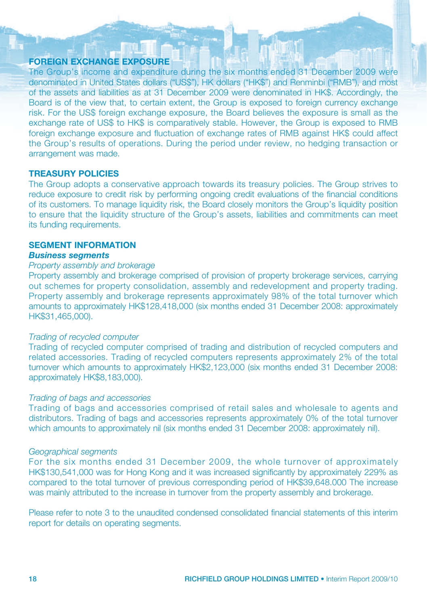### **FOREIGN EXCHANGE EXPOSURE**

The Group's income and expenditure during the six months ended 31 December 2009 were denominated in United States dollars ("US\$"), HK dollars ("HK\$") and Renminbi ("RMB"), and most of the assets and liabilities as at 31 December 2009 were denominated in HK\$. Accordingly, the Board is of the view that, to certain extent, the Group is exposed to foreign currency exchange risk. For the US\$ foreign exchange exposure, the Board believes the exposure is small as the exchange rate of US\$ to HK\$ is comparatively stable. However, the Group is exposed to RMB foreign exchange exposure and fluctuation of exchange rates of RMB against HK\$ could affect the Group's results of operations. During the period under review, no hedging transaction or arrangement was made.

### **TREASURY POLICIES**

The Group adopts a conservative approach towards its treasury policies. The Group strives to reduce exposure to credit risk by performing ongoing credit evaluations of the financial conditions of its customers. To manage liquidity risk, the Board closely monitors the Group's liquidity position to ensure that the liquidity structure of the Group's assets, liabilities and commitments can meet its funding requirements.

### **SEGMENT INFORMATION Business seaments**

# **Property assembly and brokerage**

Property assembly and brokerage comprised of provision of property brokerage services, carrying out schemes for property consolidation, assembly and redevelopment and property trading. Property assembly and brokerage represents approximately 98% of the total turnover which amounts to approximately HK\$128,418,000 (six months ended 31 December 2008: approximately HK\$31,465,000).

### *Trading of recycled computer*

Trading of recycled computer comprised of trading and distribution of recycled computers and related accessories. Trading of recycled computers represents approximately 2% of the total turnover which amounts to approximately HK\$2,123,000 (six months ended 31 December 2008: approximately HK\$8,183,000).

### *Trading of bags and accessories*

Trading of bags and accessories comprised of retail sales and wholesale to agents and distributors. Trading of bags and accessories represents approximately 0% of the total turnover which amounts to approximately nil (six months ended 31 December 2008: approximately nil).

### *Geographical segments*

For the six months ended 31 December 2009, the whole turnover of approximately HK\$130,541,000 was for Hong Kong and it was increased significantly by approximately 229% as compared to the total turnover of previous corresponding period of HK\$39,648.000 The increase was mainly attributed to the increase in turnover from the property assembly and brokerage.

Please refer to note 3 to the unaudited condensed consolidated financial statements of this interim report for details on operating segments.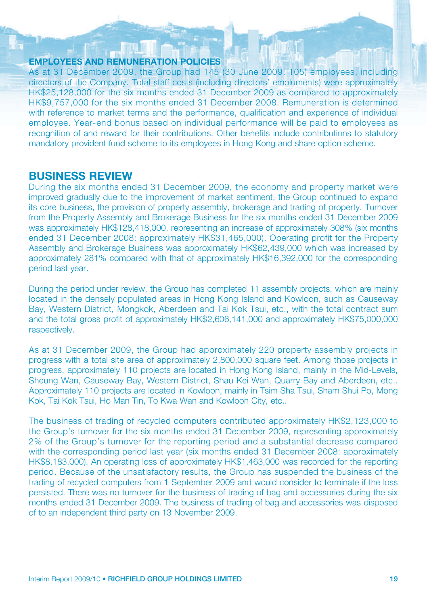### **EMPLOYEES AND REMUNERATION POLICIES**

As at 31 December 2009, the Group had 145 (30 June 2009: 105) employees, including directors of the Company. Total staff costs (including directors' emoluments) were approximately HK\$25,128,000 for the six months ended 31 December 2009 as compared to approximately HK\$9,757,000 for the six months ended 31 December 2008. Remuneration is determined with reference to market terms and the performance, qualification and experience of individual employee. Year-end bonus based on individual performance will be paid to employees as recognition of and reward for their contributions. Other benefits include contributions to statutory mandatory provident fund scheme to its employees in Hong Kong and share option scheme.

# **BUSINESS REVIEW**

During the six months ended 31 December 2009, the economy and property market were improved gradually due to the improvement of market sentiment, the Group continued to expand its core business, the provision of property assembly, brokerage and trading of property. Turnover from the Property Assembly and Brokerage Business for the six months ended 31 December 2009 was approximately HK\$128,418,000, representing an increase of approximately 308% (six months ended 31 December 2008: approximately HK\$31,465,000). Operating profit for the Property Assembly and Brokerage Business was approximately HK\$62,439,000 which was increased by approximately 281% compared with that of approximately HK\$16,392,000 for the corresponding period last year.

During the period under review, the Group has completed 11 assembly projects, which are mainly located in the densely populated areas in Hong Kong Island and Kowloon, such as Causeway Bay, Western District, Mongkok, Aberdeen and Tai Kok Tsui, etc., with the total contract sum and the total gross profit of approximately HK\$2,606,141,000 and approximately HK\$75,000,000 respectively.

As at 31 December 2009, the Group had approximately 220 property assembly projects in progress with a total site area of approximately 2,800,000 square feet. Among those projects in progress, approximately 110 projects are located in Hong Kong Island, mainly in the Mid-Levels, Sheung Wan, Causeway Bay, Western District, Shau Kei Wan, Quarry Bay and Aberdeen, etc.. Approximately 110 projects are located in Kowloon, mainly in Tsim Sha Tsui, Sham Shui Po, Mong Kok, Tai Kok Tsui, Ho Man Tin, To Kwa Wan and Kowloon City, etc..

The business of trading of recycled computers contributed approximately HK\$2,123,000 to the Group's turnover for the six months ended 31 December 2009, representing approximately 2% of the Group's turnover for the reporting period and a substantial decrease compared with the corresponding period last year (six months ended 31 December 2008; approximately HK\$8,183,000). An operating loss of approximately HK\$1,463,000 was recorded for the reporting period. Because of the unsatisfactory results, the Group has suspended the business of the trading of recycled computers from 1 September 2009 and would consider to terminate if the loss persisted. There was no turnover for the business of trading of bag and accessories during the six months ended 31 December 2009. The business of trading of bag and accessories was disposed of to an independent third party on 13 November 2009.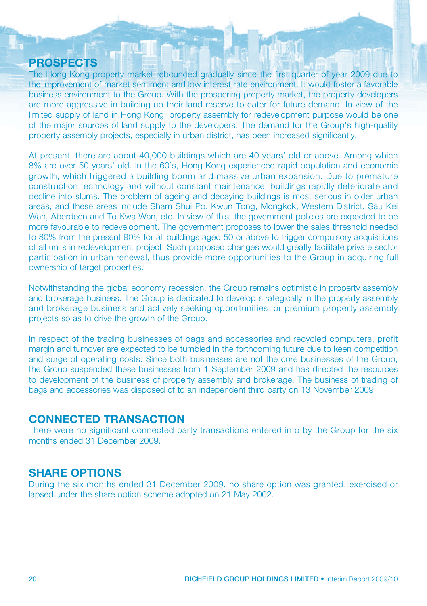# **PROSPECTS**

The Hong Kong property market rebounded gradually since the first quarter of year 2009 due to the improvement of market sentiment and low interest rate environment. It would foster a favorable business environment to the Group. With the prospering property market, the property developers are more aggressive in building up their land reserve to cater for future demand. In view of the limited supply of land in Hong Kong, property assembly for redevelopment purpose would be one of the major sources of land supply to the developers. The demand for the Group's high-quality property assembly projects, especially in urban district, has been increased significantly.

At present, there are about 40,000 buildings which are 40 years' old or above. Among which 8% are over 50 years' old. In the 60's, Hong Kong experienced rapid population and economic growth, which triggered a building boom and massive urban expansion. Due to premature construction technology and without constant maintenance, buildings rapidly deteriorate and decline into slums. The problem of ageing and decaying buildings is most serious in older urban areas, and these areas include Sham Shui Po, Kwun Tong, Mongkok, Western District, Sau Kei Wan, Aberdeen and To Kwa Wan, etc. In view of this, the government policies are expected to be more favourable to redevelopment. The government proposes to lower the sales threshold needed to 80% from the present 90% for all buildings aged 50 or above to trigger compulsory acquisitions of all units in redevelopment project. Such proposed changes would greatly facilitate private sector participation in urban renewal, thus provide more opportunities to the Group in acquiring full ownership of target properties.

Notwithstanding the global economy recession, the Group remains optimistic in property assembly and brokerage business. The Group is dedicated to develop strategically in the property assembly and brokerage business and actively seeking opportunities for premium property assembly projects so as to drive the growth of the Group.

In respect of the trading businesses of bags and accessories and recycled computers, profit margin and turnover are expected to be tumbled in the forthcoming future due to keen competition and surge of operating costs. Since both businesses are not the core businesses of the Group, the Group suspended these businesses from 1 September 2009 and has directed the resources to development of the business of property assembly and brokerage. The business of trading of bags and accessories was disposed of to an independent third party on 13 November 2009.

### **CONNECTED TRANSACTION**

There were no significant connected party transactions entered into by the Group for the six months ended 31 December 2009.

# **SHARE OPTIONS**

During the six months ended 31 December 2009, no share option was granted, exercised or lapsed under the share option scheme adopted on 21 May 2002.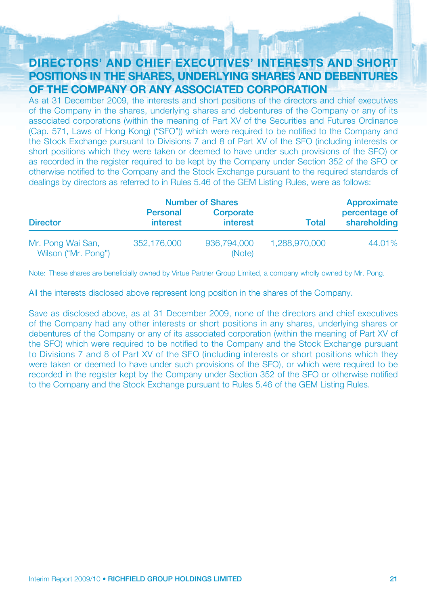# **DIRECTORS' AND CHIEF EXECUTIVES' INTERESTS AND SHORT POSITIONS IN THE SHARES, UNDERLYING SHARES AND DEBENTURES OF THE COMPANY OR ANY ASSOCIATED CORPORATION**

As at 31 December 2009, the interests and short positions of the directors and chief executives of the Company in the shares, underlying shares and debentures of the Company or any of its associated corporations (within the meaning of Part XV of the Securities and Futures Ordinance (Cap. 571, Laws of Hong Kong) ("SFO")) which were required to be notified to the Company and the Stock Exchange pursuant to Divisions 7 and 8 of Part XV of the SFO (including interests or short positions which they were taken or deemed to have under such provisions of the SFO) or as recorded in the register required to be kept by the Company under Section 352 of the SFO or otherwise notified to the Company and the Stock Exchange pursuant to the required standards of dealings by directors as referred to in Rules 5.46 of the GEM Listing Rules, were as follows:

|                                          |                             | <b>Number of Shares</b> |               | Approximate                   |
|------------------------------------------|-----------------------------|-------------------------|---------------|-------------------------------|
| <b>Director</b>                          | Personal<br><b>interest</b> | Corporate<br>interest   | <b>Total</b>  | percentage of<br>shareholding |
| Mr. Pong Wai San,<br>Wilson ("Mr. Pong") | 352.176.000                 | 936,794,000<br>(Note)   | 1,288,970,000 | 44.01%                        |

Note: These shares are beneficially owned by Virtue Partner Group Limited, a company wholly owned by Mr. Pong.

All the interests disclosed above represent long position in the shares of the Company.

Save as disclosed above, as at 31 December 2009, none of the directors and chief executives of the Company had any other interests or short positions in any shares, underlying shares or debentures of the Company or any of its associated corporation (within the meaning of Part XV of the SFO) which were required to be notified to the Company and the Stock Exchange pursuant to Divisions 7 and 8 of Part XV of the SFO (including interests or short positions which they were taken or deemed to have under such provisions of the SFO), or which were required to be recorded in the register kept by the Company under Section 352 of the SFO or otherwise notified to the Company and the Stock Exchange pursuant to Rules 5.46 of the GEM Listing Rules.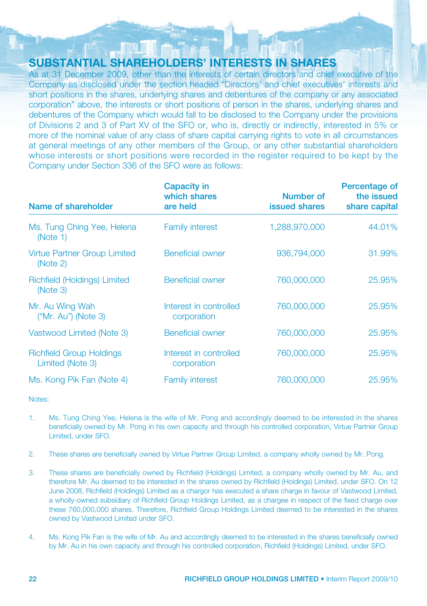# **SUBSTANTIAL SHAREHOLDERS' INTERESTS IN SHARES**

As at 31 December 2009, other than the interests of certain directors and chief executive of the Company as disclosed under the section headed "Directors' and chief executives' interests and short positions in the shares, underlying shares and debentures of the company or any associated corporation" above, the interests or short positions of person in the shares, underlying shares and debentures of the Company which would fall to be disclosed to the Company under the provisions of Divisions 2 and 3 of Part XV of the SFO or, who is, directly or indirectly, interested in 5% or more of the nominal value of any class of share capital carrying rights to vote in all circumstances at general meetings of any other members of the Group, or any other substantial shareholders whose interests or short positions were recorded in the register required to be kept by the Company under Section 336 of the SFO were as follows:

| Name of shareholder                                 | Capacity in<br>which shares<br>are held | Number of<br><b>issued shares</b> | Percentage of<br>the issued<br>share capital |
|-----------------------------------------------------|-----------------------------------------|-----------------------------------|----------------------------------------------|
| Ms. Tung Ching Yee, Helena<br>(Note 1)              | <b>Family interest</b>                  | 1,288,970,000                     | 44.01%                                       |
| <b>Virtue Partner Group Limited</b><br>(Note 2)     | Beneficial owner                        | 936.794.000                       | 31.99%                                       |
| Richfield (Holdings) Limited<br>(Note 3)            | <b>Beneficial owner</b>                 | 760,000,000                       | 25,95%                                       |
| Mr. Au Wing Wah<br>$("Mr. Au")$ (Note 3)            | Interest in controlled<br>corporation   | 760,000,000                       | 25,95%                                       |
| Vastwood Limited (Note 3)                           | Beneficial owner                        | 760,000,000                       | 25,95%                                       |
| <b>Richfield Group Holdings</b><br>Limited (Note 3) | Interest in controlled<br>corporation   | 760,000,000                       | 25,95%                                       |
| Ms. Kong Pik Fan (Note 4)                           | <b>Family interest</b>                  | 760,000,000                       | 25.95%                                       |

Notes:

- 1. Ms. Tung Ching Yee, Helena is the wife of Mr. Pong and accordingly deemed to be interested in the shares beneficially owned by Mr. Pong in his own capacity and through his controlled corporation, Virtue Partner Group Limited, under SFO.
- 2. These shares are beneficially owned by Virtue Partner Group Limited, a company wholly owned by Mr. Pong.
- 3. These shares are beneficially owned by Richfield (Holdings) Limited, a company wholly owned by Mr. Au, and therefore Mr. Au deemed to be interested in the shares owned by Richfield (Holdings) Limited, under SFO. On 12 June 2008, Richfield (Holdings) Limited as a chargor has executed a share charge in favour of Vastwood Limited, a wholly-owned subsidiary of Richfield Group Holdings Limited, as a chargee in respect of the fixed charge over these 760,000,000 shares. Therefore, Richfield Group Holdings Limited deemed to be interested in the shares owned by Vastwood Limited under SFO.
- 4. Ms. Kong Pik Fan is the wife of Mr. Au and accordingly deemed to be interested in the shares beneficially owned by Mr. Au in his own capacity and through his controlled corporation, Richfield (Holdings) Limited, under SFO.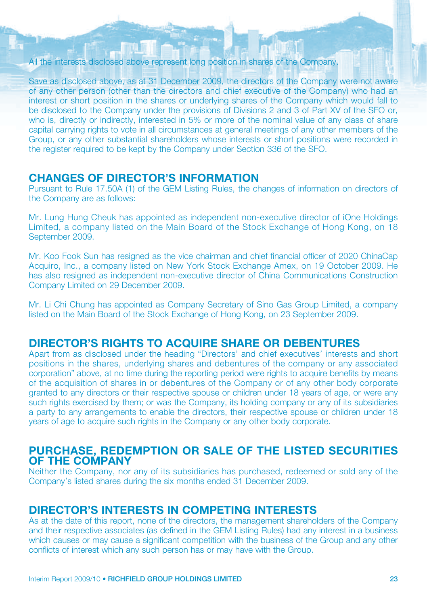### All the interests disclosed above represent long position in shares of the Company.

Save as disclosed above, as at 31 December 2009, the directors of the Company were not aware of any other person (other than the directors and chief executive of the Company) who had an interest or short position in the shares or underlying shares of the Company which would fall to be disclosed to the Company under the provisions of Divisions 2 and 3 of Part XV of the SFO or, who is, directly or indirectly, interested in 5% or more of the nominal value of any class of share capital carrying rights to vote in all circumstances at general meetings of any other members of the Group, or any other substantial shareholders whose interests or short positions were recorded in the register required to be kept by the Company under Section 336 of the SFO.

# **CHANGES OF DIRECTOR'S INFORMATION**

Pursuant to Rule 17.50A (1) of the GEM Listing Rules, the changes of information on directors of the Company are as follows:

Mr. Lung Hung Cheuk has appointed as independent non-executive director of iOne Holdings Limited, a company listed on the Main Board of the Stock Exchange of Hong Kong, on 18 September 2009.

Mr. Koo Fook Sun has resigned as the vice chairman and chief financial officer of 2020 ChinaCap Acquiro, Inc., a company listed on New York Stock Exchange Amex, on 19 October 2009. He has also resigned as independent non-executive director of China Communications Construction Company Limited on 29 December 2009.

Mr. Li Chi Chung has appointed as Company Secretary of Sino Gas Group Limited, a company listed on the Main Board of the Stock Exchange of Hong Kong, on 23 September 2009.

# **DIRECTOR'S RIGHTS TO ACQUIRE SHARE OR DEBENTURES**

Apart from as disclosed under the heading "Directors' and chief executives' interests and short positions in the shares, underlying shares and debentures of the company or any associated corporation" above, at no time during the reporting period were rights to acquire benefits by means of the acquisition of shares in or debentures of the Company or of any other body corporate granted to any directors or their respective spouse or children under 18 years of age, or were any such rights exercised by them; or was the Company, its holding company or any of its subsidiaries a party to any arrangements to enable the directors, their respective spouse or children under 18 years of age to acquire such rights in the Company or any other body corporate.

### **PURCHASE, REDEMPTION OR SALE OF THE LISTED SECURITIES OF THE COMPANY**

Neither the Company, nor any of its subsidiaries has purchased, redeemed or sold any of the Company's listed shares during the six months ended 31 December 2009.

### **DIRECTOR'S INTERESTS IN COMPETING INTERESTS**

As at the date of this report, none of the directors, the management shareholders of the Company and their respective associates (as defined in the GEM Listing Rules) had any interest in a business which causes or may cause a significant competition with the business of the Group and any other conflicts of interest which any such person has or may have with the Group.